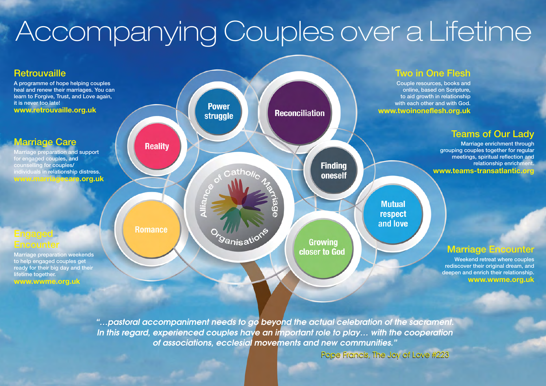# Accompanying Couples over a Lifetime



*"…pastoral accompaniment needs to go beyond the actual celebration of the sacrament. In this regard, experienced couples have an important role to play… with the cooperation of associations, ecclesial movements and new communities."*

Pope Francis, The Joy of Love #223 Pope Francis, The Joy of Love #223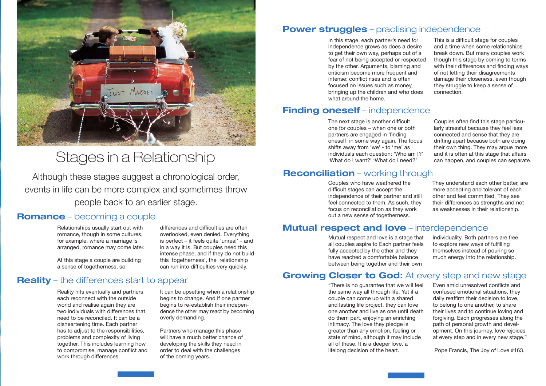

### Stages in a Relationship

Although these stages suggest a chronological order, events in life can be more complex and sometimes throw people back to an earlier stage.

#### **Romance** – becoming a couple

Relationships usually start out with romance, though in some cultures, for example, where a marriage is arranged, romance may come later. differences and difficulties are often overlooked, even denied. Everything is perfect – it feels quite 'unreal' – and in a way it is. But couples need this intense phase, and if they do not build this 'togetherness', the relationship can run into difficulties very quickly.

At this stage a couple are building a sense of togetherness, so

#### **Reality** – the differences start to appear

Reality hits eventually and partners each reconnect with the outside world and realise again they are two individuals with differences that need to be reconciled. It can be a disheartening time. Each partner has to adjust to the responsibilities, problems and complexity of living together. This includes learning how to compromise, manage conflict and work through differences.

It can be upsetting when a relationship begins to change. And if one partner begins to re-establish their independence the other may react by becoming overly demanding.

Partners who manage this phase will have a much better chance of developing the skills they need in order to deal with the challenges of the coming years.

#### **Power struggles** – practising independence

In this stage, each partner's need for independence grows as does a desire to get their own way, perhaps out of a fear of not being accepted or respected by the other. Arguments, blaming and criticism become more frequent and intense; conflict rises and is often focused on issues such as money, bringing up the children and who does what around the home.

#### **Finding oneself** – independence

The next stage is another difficult one for couples – when one or both partners are engaged in 'finding oneself' in some way again. The focus shifts away from 'we' - to 'me' as individuals each question: 'Who am I?' 'What do I want?' 'What do I need?'

#### **Reconciliation** – working through

#### **Mutual respect and love** – interdependence

Mutual respect and love is a stage that all couples aspire to Each partner feels fully accepted by the other and they have reached a comfortable balance between being together and their own

individuality. Both partners are free to explore new ways of fulfilling themselves instead of pouring so much energy into the relationship.

#### **Growing Closer to God:** At every step and new stage

"There is no guarantee that we will feel the same way all through life. Yet if a couple can come up with a shared and lasting life project, they can love one another and live as one until death do them part, enjoying an enriching intimacy. The love they pledge is greater than any emotion, feeling or state of mind, although it may include all of these. It is a deeper love, a lifelong decision of the heart.

Even amid unresolved conflicts and confused emotional situations, they daily reaffirm their decision to love, to belong to one another, to share their lives and to continue loving and forgiving. Each progresses along the path of personal growth and development. On this journey, love rejoices at every step and in every new stage."

Pope Francis, The Joy of Love #163.

and a time when some relationships break down. But many couples work though this stage by coming to terms with their differences and finding ways of not letting their disagreements damage their closeness, even though they struggle to keep a sense of connection.

Couples often find this stage particularly stressful because they feel less connected and sense that they are drifting apart because both are doing their own thing. They may argue more and it is often at this stage that affairs can happen, and couples can separate.

This is a difficult stage for couples

Couples who have weathered the difficult stages can accept the independence of their partner and still feel connected to them. As such, they focus on reconciliation as they work out a new sense of togetherness. They understand each other better, are more accepting and tolerant of each other and feel committed. They see their differences as strengths and not as weaknesses in their relationship.